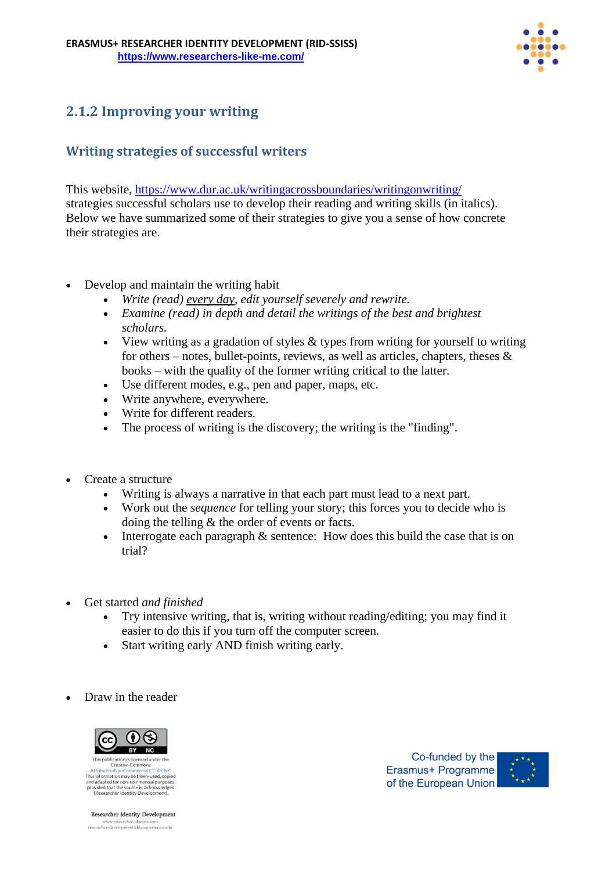

# **2.1.2 Improving your writing**

## **Writing strategies of successful writers**

This website, <https://www.dur.ac.uk/writingacrossboundaries/writingonwriting/> strategies successful scholars use to develop their reading and writing skills (in italics). Below we have summarized some of their strategies to give you a sense of how concrete their strategies are.

- Develop and maintain the writing habit
	- *Write (read) every day, edit yourself severely and rewrite.*
	- *Examine (read) in depth and detail the writings of the best and brightest scholars.*
	- View writing as a gradation of styles & types from writing for yourself to writing for others – notes, bullet-points, reviews, as well as articles, chapters, theses  $\&$ books – with the quality of the former writing critical to the latter.
	- Use different modes, e.g., pen and paper, maps, etc.
	- Write anywhere, everywhere.
	- Write for different readers.
	- The process of writing is the discovery; the writing is the "finding".
- Create a structure
	- Writing is always a narrative in that each part must lead to a next part.
	- Work out the *sequence* for telling your story; this forces you to decide who is doing the telling & the order of events or facts.
	- Interrogate each paragraph & sentence: How does this build the case that is on trial?
- Get started *and finished*
	- Try intensive writing, that is, writing without reading/editing; you may find it easier to do this if you turn off the computer screen.
	- Start writing early AND finish writing early.
- Draw in the reader



Creative Commo This information may be freely used, copied and adapted for non-commercial purposes<br>provided that the source is acknowledged<br>(Researcher Identity Development).

Co-funded by the Erasmus+ Programme of the European Union



Researcher Identity Development www.researcher-identity.com<br>researcher-development@blanquerna.url.edu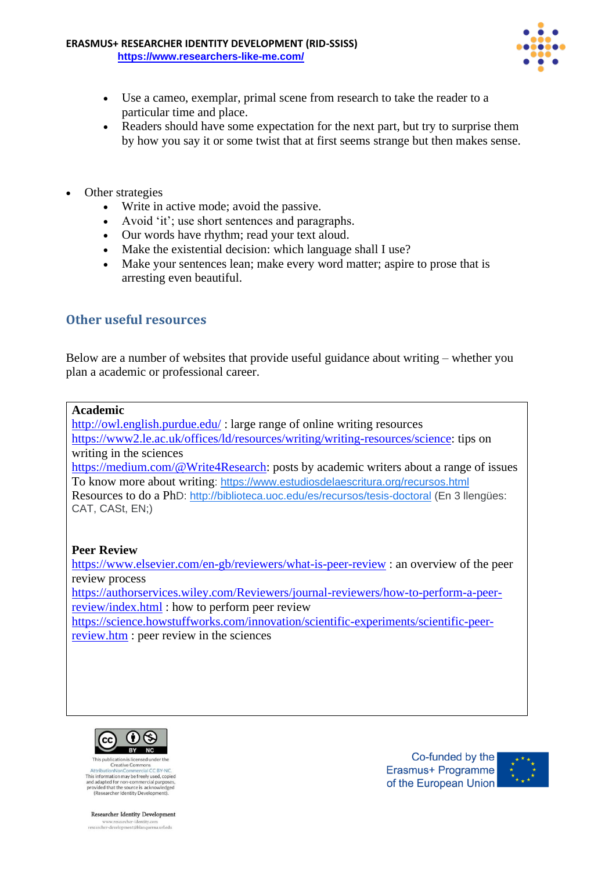

- Use a cameo, exemplar, primal scene from research to take the reader to a particular time and place.
- Readers should have some expectation for the next part, but try to surprise them by how you say it or some twist that at first seems strange but then makes sense.
- Other strategies
	- Write in active mode; avoid the passive.
	- Avoid 'it'; use short sentences and paragraphs.
	- Our words have rhythm; read your text aloud.
	- Make the existential decision: which language shall I use?
	- Make your sentences lean; make every word matter; aspire to prose that is arresting even beautiful.

## **Other useful resources**

Below are a number of websites that provide useful guidance about writing – whether you plan a academic or professional career.

#### **Academic**

<http://owl.english.purdue.edu/> : large range of online writing resources [https://www2.le.ac.uk/offices/ld/resources/writing/writing-resources/science:](https://www2.le.ac.uk/offices/ld/resources/writing/writing-resources/science) tips on writing in the sciences

[https://medium.com/@Write4Research:](https://medium.com/@Write4Research) posts by academic writers about a range of issues To know more about writing: <https://www.estudiosdelaescritura.org/recursos.html> Resources to do a PhD: <http://biblioteca.uoc.edu/es/recursos/tesis-doctoral> (En 3 llengües: CAT, CASt, EN;)

## **Peer Review**

<https://www.elsevier.com/en-gb/reviewers/what-is-peer-review> : an overview of the peer review process

[https://authorservices.wiley.com/Reviewers/journal-reviewers/how-to-perform-a-peer](https://authorservices.wiley.com/Reviewers/journal-reviewers/how-to-perform-a-peer-review/index.html)[review/index.html](https://authorservices.wiley.com/Reviewers/journal-reviewers/how-to-perform-a-peer-review/index.html) : how to perform peer review

[https://science.howstuffworks.com/innovation/scientific-experiments/scientific-peer](https://science.howstuffworks.com/innovation/scientific-experiments/scientific-peer-review.htm)[review.htm](https://science.howstuffworks.com/innovation/scientific-experiments/scientific-peer-review.htm) : peer review in the sciences



Creative Commo This information may be freely used, copied and adapted for non-commercial purposes,<br>and adapted for non-commercial purposes,<br>provided that the source is acknowledged<br>(Researcher Identity Development).

Co-funded by the Erasmus+ Programme of the European Union



Researcher Identity Development

www.researcher-identity.com<br>researcher-development@blanquerna.url.edu